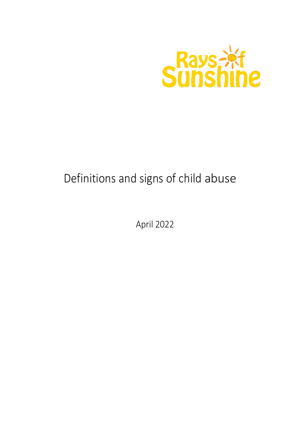

# Definitions and signs of child abuse

April 2022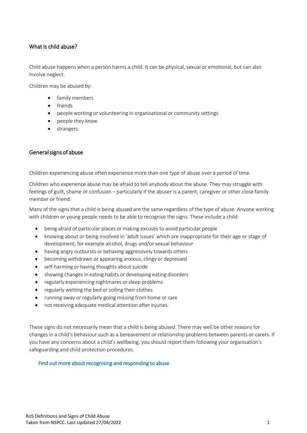# What is child abuse?

Child abuse happens when a person harms a child. It can be physical, sexual or emotional, but can also involve neglect.

Children may be abused by:

- family members
- friends
- people working or volunteering in organisational or community settings
- people they know
- strangers.

## General signs of abuse

Children experiencing abuse often experience more than one type of abuse over a period of time.

Children who experience abuse may be afraid to tell anybody about the abuse. They may struggle with feelings of guilt, shame or confusion – particularly if the abuser is a parent, caregiver or other close family member or friend.

Many of the signs that a child is being abused are the same regardless of the type of abuse. Anyone working with children or young people needs to be able to recognise the signs. These include a child:

- being afraid of particular places or making excuses to avoid particular people
- knowing about or being involved in 'adult issues' which are inappropriate for their age or stage of development, for example alcohol, drugs and/or sexual behaviour
- having angry outbursts or behaving aggressively towards others
- becoming withdrawn or appearing anxious, clingy or depressed
- self-harming or having thoughts about suicide
- showing changes in eating habits or developing eating disorders
- regularly experiencing nightmares orsleep problems
- regularly wetting the bed or soiling their clothes
- running away or regularly going missing from home or care
- not receiving adequate medical attention after injuries.

These signs do not necessarily mean that a child is being abused. There may well be other reasons for changes in a child's behaviour such as a bereavement or relationship problems between parents or carers. If you have any concerns about a child's wellbeing, you should report them following your organisation's safeguarding and child protection procedures.

#### [Find out more about recognising and responding to abuse](https://learning.nspcc.org.uk/child-abuse-and-neglect/recognising-and-responding-to-abuse/)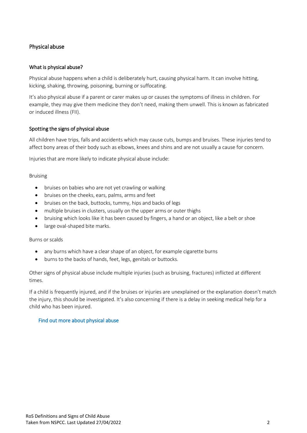# Physical abuse

# What is physical abuse?

Physical abuse happens when a child is deliberately hurt, causing physical harm. It can involve hitting, kicking, shaking, throwing, poisoning, burning or suffocating.

It's also physical abuse if a parent or carer makes up or causes the symptoms of illness in children. For example, they may give them medicine they don't need, making them unwell. This is known as fabricated or induced illness (FII).

## Spotting the signs of physical abuse

All children have trips, falls and accidents which may cause cuts, bumps and bruises. These injuries tend to affect bony areas of their body such as elbows, knees and shins and are not usually a cause for concern.

Injuries that are more likely to indicate physical abuse include:

## Bruising

- bruises on babies who are not yet crawling or walking
- bruises on the cheeks, ears, palms, arms and feet
- bruises on the back, buttocks, tummy, hips and backs of legs
- multiple bruises in clusters, usually on the upper arms or outer thighs
- bruising which looks like it has been caused by fingers, a hand or an object, like a belt or shoe
- large oval-shaped bite marks.

#### Burns or scalds

- any burns which have a clear shape of an object, for example cigarette burns
- burns to the backs of hands, feet, legs, genitals or buttocks.

Other signs of physical abuse include multiple injuries (such as bruising, fractures) inflicted at different times.

If a child is frequently injured, and if the bruises or injuries are unexplained or the explanation doesn't match the injury, this should be investigated. It's also concerning if there is a delay in seeking medical help for a child who has been injured.

## [Find out more about physical abuse](https://learning.nspcc.org.uk/child-abuse-and-neglect/physical-abuse/)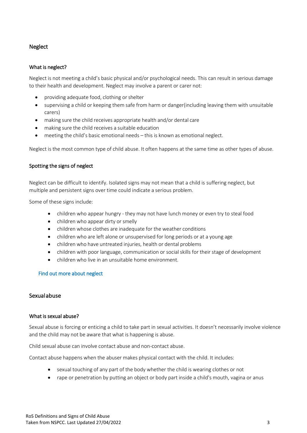# Neglect

## What is neglect?

Neglect is not meeting a child's basic physical and/or psychological needs. This can result in serious damage to their health and development. Neglect may involve a parent or carer not:

- providing adequate food, clothing or shelter
- supervising a child or keeping them safe from harm or danger(including leaving them with unsuitable carers)
- making sure the child receives appropriate health and/or dental care
- making sure the child receives a suitable education
- meeting the child's basic emotional needs this is known as emotional neglect.

Neglect is the most common type of child abuse. It often happens at the same time as other types of abuse.

## Spotting the signs of neglect

Neglect can be difficult to identify. Isolated signs may not mean that a child is suffering neglect, but multiple and persistent signs over time could indicate a serious problem.

Some of these signs include:

- children who appear hungry they may not have lunch money or even try to steal food
- children who appear dirty or smelly
- children whose clothes are inadequate for the weather conditions
- children who are left alone or unsupervised for long periods or at a young age
- children who have untreated injuries, health or dental problems
- children with poor language, communication or social skills for their stage of development
- children who live in an unsuitable home environment.

## [Find out more about neglect](https://learning.nspcc.org.uk/child-abuse-and-neglect/neglect)

# Sexual abuse

## What is sexual abuse?

Sexual abuse is forcing or enticing a child to take part in sexual activities. It doesn't necessarily involve violence and the child may not be aware that what is happening is abuse.

Child sexual abuse can involve contact abuse and non-contact abuse.

Contact abuse happens when the abuser makes physical contact with the child. It includes:

- sexual touching of any part of the body whether the child is wearing clothes or not
- rape or penetration by putting an object or body part inside a child's mouth, vagina or anus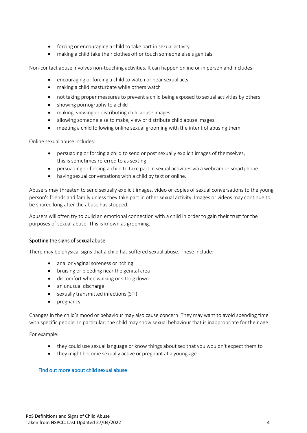- forcing or encouraging a child to take part in sexual activity
- making a child take their clothes off or touch someone else's genitals.

Non-contact abuse involves non-touching activities. It can happen online or in person and includes:

- encouraging or forcing a child to watch or hear sexual acts
- making a child masturbate while others watch
- not taking proper measures to prevent a child being exposed to sexual activities by others
- showing pornography to a child
- making, viewing or distributing child abuse images
- allowing someone else to make, view or distribute child abuse images.
- meeting a child following online sexual grooming with the intent of abusing them.

Online sexual abuse includes:

- persuading or forcing a child to send or post sexually explicit images of themselves, this is sometimes referred to as sexting
- persuading or forcing a child to take part in sexual activities via a webcam or smartphone
- having sexual conversations with a child by text or online.

Abusers may threaten to send sexually explicit images, video or copies of sexual conversations to the young person's friends and family unless they take part in other sexual activity. Images or videos may continue to be shared long after the abuse has stopped.

Abusers will often try to build an emotional connection with a child in order to gain their trust for the purposes of sexual abuse. This is known as grooming.

## Spotting the signs of sexual abuse

There may be physical signs that a child has suffered sexual abuse. These include:

- anal or vaginal soreness or itching
- bruising or bleeding near the genital area
- discomfort when walking or sitting down
- an unusual discharge
- sexually transmitted infections(STI)
- pregnancy.

Changes in the child's mood or behaviour may also cause concern. They may want to avoid spending time with specific people. In particular, the child may show sexual behaviour that is inappropriate for their age.

For example:

- they could use sexual language or know things about sex that you wouldn't expect them to
- they might become sexually active or pregnant at a young age.

#### [Find out more about child sexual abuse](https://learning.nspcc.org.uk/child-abuse-and-neglect/child-sexual-abuse/)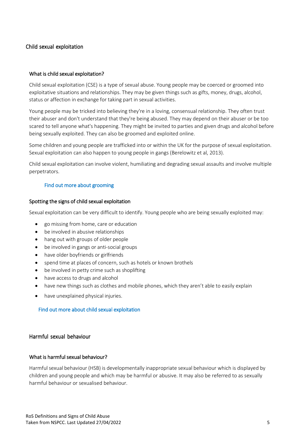# Child sexual exploitation

### What is child sexual exploitation?

Child sexual exploitation (CSE) is a type of sexual abuse. Young people may be coerced or groomed into exploitative situations and relationships. They may be given things such as gifts, money, drugs, alcohol, status or affection in exchange for taking part in sexual activities.

Young people may be tricked into believing they're in a loving, consensual relationship. They often trust their abuser and don't understand that they're being abused. They may depend on their abuser or be too scared to tell anyone what's happening. They might be invited to parties and given drugs and alcohol before being sexually exploited. They can also be groomed and exploited online.

Some children and young people are trafficked into or within the UK for the purpose of sexual exploitation. Sexual exploitation can also happen to young people in gangs (Berelowitz et al, 2013).

Child sexual exploitation can involve violent, humiliating and degrading sexual assaults and involve multiple perpetrators.

### [Find out more about grooming](https://learning.nspcc.org.uk/research-resources/briefings/grooming/)

#### Spotting the signs of child sexual exploitation

Sexual exploitation can be very difficult to identify. Young people who are being sexually exploited may:

- go missing from home, care or education
- be involved in abusive relationships
- hang out with groups of older people
- be involved in gangs or anti-social groups
- have older boyfriends or girlfriends
- spend time at places of concern, such as hotels or known brothels
- be involved in petty crime such as shoplifting
- have access to drugs and alcohol
- have new things such as clothes and mobile phones, which they aren't able to easily explain
- have unexplained physical injuries.

### [Find out more about child sexual exploitation](https://learning.nspcc.org.uk/child-abuse-and-neglect/child-sexual-exploitation/)

## Harmful sexual behaviour

#### What is harmful sexual behaviour?

Harmful sexual behaviour (HSB) is developmentally inappropriate sexual behaviour which is displayed by children and young people and which may be harmful or abusive. It may also be referred to as sexually harmful behaviour or sexualised behaviour.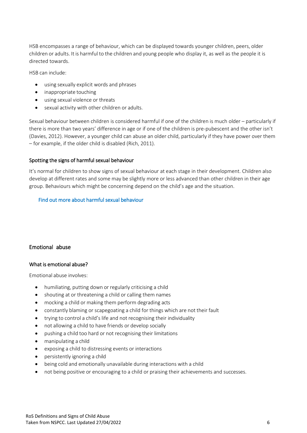HSB encompasses a range of behaviour, which can be displayed towards younger children, peers, older children or adults. It is harmful to the children and young people who display it, as well as the people it is directed towards.

HSB can include:

- using sexually explicit words and phrases
- inappropriate touching
- using sexual violence or threats
- sexual activity with other children or adults.

Sexual behaviour between children is considered harmful if one of the children is much older – particularly if there is more than two years' difference in age or if one of the children is pre-pubescent and the other isn't (Davies, 2012). However, a younger child can abuse an older child, particularly if they have power over them – for example, if the older child is disabled (Rich, 2011).

# Spotting the signs of harmful sexual behaviour

It's normal for children to show signs of sexual behaviour at each stage in their development. Children also develop at different rates and some may be slightly more or less advanced than other children in their age group. Behaviours which might be concerning depend on the child's age and the situation.

# [Find out more about harmful sexual behaviour](https://learning.nspcc.org.uk/child-abuse-and-neglect/harmful-sexual-behaviour/)

# Emotional abuse

## What is emotional abuse?

Emotional abuse involves:

- humiliating, putting down or regularly criticising a child
- shouting at or threatening a child or calling them names
- mocking a child or making them perform degrading acts
- constantly blaming or scapegoating a child for things which are not their fault
- trying to control a child's life and not recognising their individuality
- not allowing a child to have friends or develop socially
- pushing a child too hard or not recognising their limitations
- manipulating a child
- exposing a child to distressing events or interactions
- persistently ignoring a child
- being cold and emotionally unavailable during interactions with a child
- not being positive or encouraging to a child or praising their achievements and successes.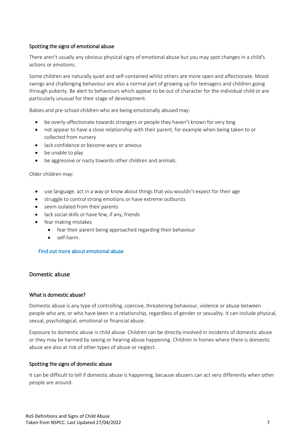# Spotting the signs of emotional abuse

There aren't usually any obvious physical signs of emotional abuse but you may spot changes in a child's actions or emotions.

Some children are naturally quiet and self-contained whilst others are more open and affectionate. Mood swings and challenging behaviour are also a normal part of growing up for teenagers and children going through puberty. Be alert to behaviours which appear to be out of character for the individual child or are particularly unusual for their stage of development.

Babies and pre-school children who are being emotionally abused may:

- be overly-affectionate towards strangers or people they haven't known for very long
- not appear to have a close relationship with their parent, for example when being taken to or collected from nursery
- lack confidence or become wary or anxious
- be unable to play
- be aggressive or nasty towards other children and animals.

#### Older children may:

- use language, act in a way or know about things that you wouldn't expect for their age
- struggle to control strong emotions or have extreme outbursts
- seem isolated from their parents
- lack social skills or have few, if any, friends
- fear making mistakes
	- fear their parent being approached regarding their behaviour
	- self-harm.

#### [Find out more about emotional abuse](https://learning.nspcc.org.uk/child-abuse-and-neglect/emotional-abuse/)

# Domestic abuse

#### What is domestic abuse?

Domestic abuse is any type of controlling, coercive, threatening behaviour, violence or abuse between people who are, or who have been in a relationship, regardless of gender or sexuality. It can include physical, sexual, psychological, emotional or financial abuse.

Exposure to domestic abuse is child abuse. Children can be directly involved in incidents of domestic abuse or they may be harmed by seeing or hearing abuse happening. Children in homes where there is domestic abuse are also at risk of other types of abuse or neglect.

#### Spotting the signs of domestic abuse

It can be difficult to tell if domestic abuse is happening, because abusers can act very differently when other people are around.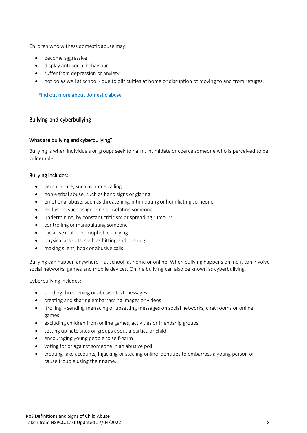Children who witness domestic abuse may:

- become aggressive
- display anti-social behaviour
- suffer from depression or anxiety
- not do as well at school due to difficulties at home or disruption of moving to and from refuges.

## [Find out more about domestic abuse](https://learning.nspcc.org.uk/child-abuse-and-neglect/domestic-abuse/)

## Bullying and cyberbullying

#### What are bullying and cyberbullying?

Bullying is when individuals or groups seek to harm, intimidate or coerce someone who is perceived to be vulnerable.

#### Bullying includes:

- verbal abuse, such as name calling
- non-verbal abuse, such as hand signs or glaring
- emotional abuse, such as threatening, intimidating or humiliating someone
- exclusion, such as ignoring or isolating someone
- undermining, by constant criticism or spreading rumours
- controlling or manipulating someone
- racial, sexual or homophobic bullying
- physical assaults, such as hitting and pushing
- making silent, hoax or abusive calls.

Bullying can happen anywhere – at school, at home or online. When bullying happens online it can involve social networks, games and mobile devices. Online bullying can also be known as cyberbullying.

Cyberbullying includes:

- sending threatening or abusive text messages
- creating and sharing embarrassing images or videos
- 'trolling' sending menacing or upsetting messages on social networks, chat rooms or online games
- excluding children from online games, activities or friendship groups
- setting up hate sites or groups about a particular child
- encouraging young people to self-harm
- voting for or against someone in an abusive poll
- creating fake accounts, hijacking or stealing online identities to embarrass a young person or cause trouble using their name.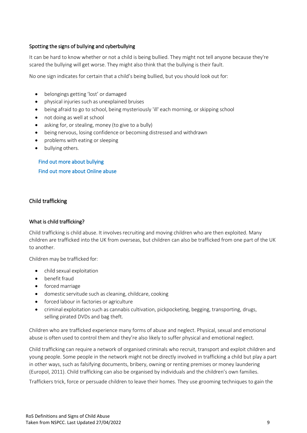# Spotting the signs of bullying and cyberbullying

It can be hard to know whether or not a child is being bullied. They might not tell anyone because they're scared the bullying will get worse. They might also think that the bullying is their fault.

No one sign indicates for certain that a child's being bullied, but you should look out for:

- belongings getting 'lost' or damaged
- physical injuries such as unexplained bruises
- being afraid to go to school, being mysteriously 'ill' each morning, or skipping school
- not doing as well at school
- asking for, or stealing, money (to give to a bully)
- being nervous, losing confidence or becoming distressed and withdrawn
- problems with eating or sleeping
- bullying others.

[Find out more about bullying](https://learning.nspcc.org.uk/child-abuse-and-neglect/bullying/)  [Find out more about Online abuse](https://learning.nspcc.org.uk/child-abuse-and-neglect/online-abuse/) 

# Child trafficking

## What is child trafficking?

Child trafficking is child abuse. It involves recruiting and moving children who are then exploited. Many children are trafficked into the UK from overseas, but children can also be trafficked from one part of the UK to another.

Children may be trafficked for:

- child sexual exploitation
- benefit fraud
- forced marriage
- domestic servitude such as cleaning, childcare, cooking
- forced labour in factories or agriculture
- criminal exploitation such as cannabis cultivation, pickpocketing, begging, transporting, drugs, selling pirated DVDs and bag theft.

Children who are trafficked experience many forms of abuse and neglect. Physical, sexual and emotional abuse is often used to control them and they're also likely to suffer physical and emotional neglect.

Child trafficking can require a network of organised criminals who recruit, transport and exploit children and young people. Some people in the network might not be directly involved in trafficking a child but play a part in other ways, such as falsifying documents, bribery, owning or renting premises or money laundering (Europol, 2011). Child trafficking can also be organised by individuals and the children's own families.

Traffickers trick, force or persuade children to leave their homes. They use grooming techniques to gain the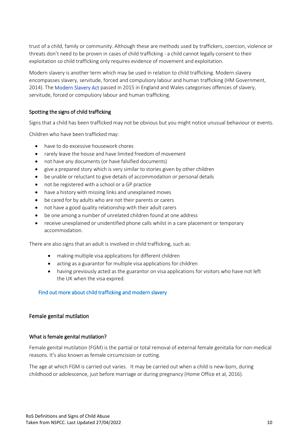trust of a child, family or community. Although these are methods used by traffickers, coercion, violence or threats don't need to be proven in cases of child trafficking - a child cannot legally consent to their exploitation so child trafficking only requires evidence of movement and exploitation.

Modern slavery is another term which may be used in relation to child trafficking. Modern slavery encompasses slavery, servitude, forced and compulsory labour and human trafficking (HM Government, 2014). The [Modern Slavery Act p](http://www.legislation.gov.uk/ukpga/2015/30/contents/enacted)assed in 2015 in England and Wales categorises offences of slavery, servitude, forced or compulsory labour and human trafficking.

## Spotting the signs of child trafficking

Signs that a child has been trafficked may not be obvious but you might notice unusual behaviour or events.

Children who have been trafficked may:

- have to do excessive housework chores
- rarely leave the house and have limited freedom of movement
- not have any documents (or have falsified documents)
- give a prepared story which is very similar to stories given by other children
- be unable or reluctant to give details of accommodation or personal details
- not be registered with a school or a GP practice
- have a history with missing links and unexplained moves
- be cared for by adults who are not their parents or carers
- not have a good quality relationship with their adult carers
- be one among a number of unrelated children found at one address
- receive unexplained or unidentified phone calls whilst in a care placement or temporary accommodation.

There are also signs that an adult is involved in child trafficking, such as:

- making multiple visa applications for different children
- acting as a guarantor for multiple visa applications for children
- having previously acted as the guarantor on visa applications for visitors who have not left the UK when the visa expired.

## [Find out more about child trafficking and modern slavery](https://learning.nspcc.org.uk/child-abuse-and-neglect/child-trafficking-and-modern-slavery/)

## Female genital mutilation

#### What is female genital mutilation?

Female genital mutilation (FGM) is the partial or total removal of external female genitalia for non-medical reasons. It's also known as female circumcision or cutting.

The age at which FGM is carried out varies. It may be carried out when a child is new-born, during childhood or adolescence, just before marriage or during pregnancy (Home Office et al, 2016).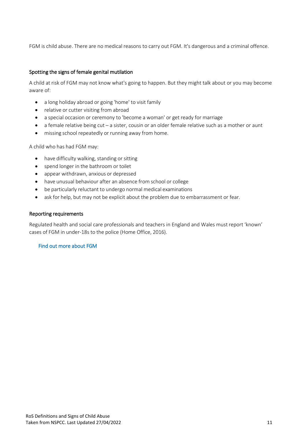FGM is child abuse. There are no medical reasons to carry out FGM. It's dangerous and a criminal offence.

## Spotting the signs of female genital mutilation

A child at risk of FGM may not know what's going to happen. But they might talk about or you may become aware of:

- a long holiday abroad or going 'home' to visit family
- relative or cutter visiting from abroad
- a special occasion or ceremony to 'become a woman' or get ready for marriage
- a female relative being cut a sister, cousin or an older female relative such as a mother or aunt
- missing school repeatedly or running away from home.

A child who has had FGM may:

- have difficulty walking, standing or sitting
- spend longer in the bathroom or toilet
- appear withdrawn, anxious or depressed
- have unusual behaviour after an absence from school or college
- be particularly reluctant to undergo normal medical examinations
- ask for help, but may not be explicit about the problem due to embarrassment or fear.

## Reporting requirements

Regulated health and social care professionals and teachers in England and Wales must report 'known' cases of FGM in under-18s to the police (Home Office, 2016).

## [Find out more about FGM](https://learning.nspcc.org.uk/child-abuse-and-neglect/fgm/)